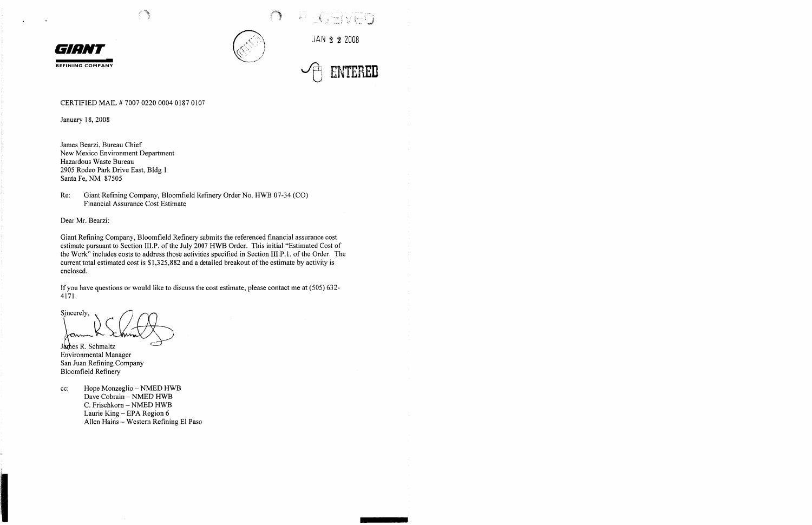



.JAN 2 **2** 2008

 $\cup$  and  $\vee$  and  $\vee$ 

REFINING COMPANY **variable to the COMPANY** 

#### CERTIFIED MAIL # 7007 0220 0004 0187 0107

January 18, 2008

James Bearzi, Bureau Chief New Mexico Environment Department Hazardous Waste Bureau 2905 Rodeo Park Drive East, Bldg 1 Santa Fe, NM 87505

Re: Giant Refining Company, Bloomfield Refinery Order No. HWB 07-34 (CO) Financial Assurance Cost Estimate

Dear Mr. Bearzi:

Giant Refining Company, Bloomfield Refinery submits the referenced financial assurance cost estimate pursuant to Section III.P. of the July 2007 HWB Order. This initial "Estimated Cost of the Work" includes costs to address those activities specified in Section III.P.1. of the Order. The current total estimated cost is \$1,325,882 and a detailed breakout of the estimate by activity is enclosed.

If you have questions or would like to discuss the cost estimate, please contact me at (505) 632- 4171.

Sincerely,  $\lambda$ anne $K$ 

James R. Schmaltz Environmental Manager San Juan Refining Company Bloomfield Refinery

cc: Hope Monzeglio - NMED HWB Dave Cobrain - NMED HWB C. Frischkorn - NMED HWB Laurie King - EPA Region 6 Allen Hains - Western Refining El Paso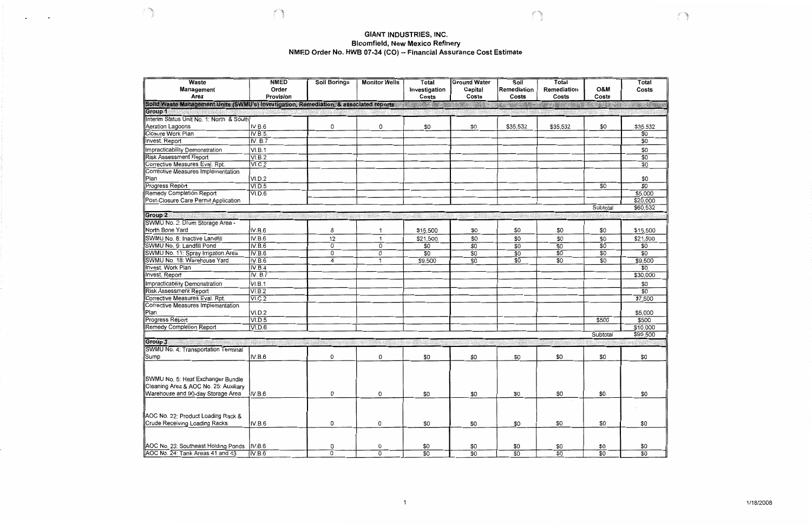#### **GIANT INDUSTRIES, INC. Bloomfield, New Mexico Refinery NMED Order No. HWB 07-34 (CO) -- Financial Assurance Cost Estimate**

**Contractor** 

 $\ddot{\phantom{a}}$ 

 $\bullet$ 

| Waste                                                                                  | <b>NMED</b>        | <b>Soil Borings</b> | <b>Monitor Wells</b> | Total                  | <b>Ground Water</b> | Soil                 | Total                |                 | Total                                 |
|----------------------------------------------------------------------------------------|--------------------|---------------------|----------------------|------------------------|---------------------|----------------------|----------------------|-----------------|---------------------------------------|
| Management<br>Area                                                                     | Order<br>Provision |                     |                      | Investigation<br>Costs | Capital<br>Costs    | Remediation<br>Costs | Remediation<br>Costs | O&M<br>Costs    | Costs                                 |
| Solid Waste Management Units (SWMU's) Investigation, Remediation, & associated reports |                    |                     |                      |                        |                     |                      |                      |                 | 29. 14                                |
| Group 1                                                                                |                    |                     |                      |                        |                     |                      |                      |                 |                                       |
| Interim Status Unit No. 1: North & South                                               |                    |                     |                      |                        |                     |                      |                      |                 |                                       |
| Aeration Lagoons                                                                       | IV.B.6             | 0                   | 0                    | \$0                    | \$0                 | \$35,532             | \$35,532             | \$0             | \$35,532                              |
| Closure Work Plan                                                                      | <b>IV.B.5.</b>     |                     |                      |                        |                     |                      |                      |                 | \$0                                   |
| Invest. Report                                                                         | IV. B.7            |                     |                      |                        |                     |                      |                      |                 | \$0                                   |
| Impracticability Demonstration                                                         | VI.B.1             |                     |                      |                        |                     |                      |                      |                 | \$0                                   |
| <b>Risk Assessment Report</b>                                                          | VI.B.2             |                     |                      |                        |                     |                      |                      |                 | $\overline{30}$                       |
| Corrective Measures Eval. Rpt.                                                         | VI.C.2             |                     |                      |                        |                     |                      |                      |                 | $\overline{50}$                       |
| Corrective Measures Implementation                                                     |                    |                     |                      |                        |                     |                      |                      |                 |                                       |
| Pian                                                                                   | VI.D.2             |                     |                      |                        |                     |                      |                      |                 | \$0                                   |
| Progress Report                                                                        | VI.D.5             |                     |                      |                        |                     |                      |                      | \$0             | $\overline{\mathfrak{s}\mathfrak{o}}$ |
| <b>Remedy Completion Report</b>                                                        | VI.D.6             |                     |                      |                        |                     |                      |                      |                 | \$5,000                               |
| Post-Closure Care Permit Application                                                   |                    |                     |                      |                        |                     |                      |                      |                 | \$20,000                              |
|                                                                                        |                    |                     |                      |                        |                     |                      |                      | Subtotal        | \$60,532                              |
| Group 2                                                                                | niv <i>o</i> renda |                     |                      |                        |                     |                      |                      |                 |                                       |
| SWMU No. 2: Drum Storage Area -                                                        |                    |                     |                      |                        |                     |                      |                      |                 |                                       |
| North Bone Yard                                                                        | IV.B.6             | 8                   | 1                    | \$15,500               | \$0                 | \$0                  | \$0                  | \$0             | \$15,500                              |
| SWMU No. 8: Inactive Landfill                                                          | IV.B.6             | 12                  | $\blacktriangleleft$ | \$21,500               | \$0                 | \$0                  | \$0                  | \$0             | \$21,500                              |
| SWMU No. 9: Landfill Pond                                                              | IV.B.6             | 0                   | 0                    | \$0                    | $\overline{30}$     | $\overline{50}$      | $\overline{30}$      | $\overline{30}$ | \$0                                   |
| SWMU No. 11: Spray Irrigation Area                                                     | IV.B.6             | 0                   | 0                    | $\overline{\$0}$       | $\overline{50}$     | $\overline{30}$      | $\overline{30}$      | $\overline{50}$ | $\overline{50}$                       |
| SWMU No. 18: Warehouse Yard                                                            | IV.B.6             | 4                   | $\mathbf{1}$         | \$9,500                | \$0                 | \$0                  | \$0                  | $\overline{50}$ | \$9,500                               |
| <b>Invest. Work Plan</b>                                                               | IV.B.4             |                     |                      |                        |                     |                      |                      |                 | $\overline{50}$                       |
| Invest. Report                                                                         | IV. B.7            |                     |                      |                        |                     |                      |                      |                 | \$30,000                              |
|                                                                                        |                    |                     |                      |                        |                     |                      |                      |                 | \$0                                   |
| Impracticability Demonstration                                                         | VI.B.1             |                     |                      |                        |                     |                      |                      |                 | $\overline{50}$                       |
| <b>Risk Assessment Report</b>                                                          | VI.B.2             |                     |                      |                        |                     |                      |                      |                 |                                       |
| Corrective Measures Eval. Rpt.                                                         | <b>VI.C.2</b>      |                     |                      |                        |                     |                      |                      |                 | \$7,500                               |
| Corrective Measures Implementation                                                     |                    |                     |                      |                        |                     |                      |                      |                 | \$5,000                               |
| Plan                                                                                   | VI.D.2             |                     |                      |                        |                     |                      |                      |                 | \$500                                 |
| Progress Report                                                                        | VI.D.5             |                     |                      |                        |                     |                      |                      | \$500           | \$10,000                              |
| Remedy Completion Report                                                               | VI.D.6             |                     |                      |                        |                     |                      |                      | Subtotal        |                                       |
|                                                                                        |                    |                     |                      |                        |                     |                      |                      |                 | \$99,500                              |
| Group <sub>3</sub>                                                                     |                    |                     |                      |                        |                     |                      |                      |                 |                                       |
| SWMU No. 4: Transportation Terminal                                                    |                    |                     |                      |                        |                     |                      |                      | \$0             | \$0                                   |
| Sump                                                                                   | IV.B.6             | 0                   | 0                    | \$0                    | \$0                 | \$0                  | \$0                  |                 |                                       |
|                                                                                        |                    |                     |                      |                        |                     |                      |                      |                 |                                       |
|                                                                                        |                    |                     |                      |                        |                     |                      |                      |                 |                                       |
| SWMU No. 5: Heat Exchanger Bundle                                                      |                    |                     |                      |                        |                     |                      |                      |                 |                                       |
| Cleaning Area & AOC No. 25: Auxiliary                                                  |                    |                     |                      |                        |                     |                      |                      |                 |                                       |
| Warehouse and 90-day Storage Area                                                      | IV.B.6             | 0                   | 0                    | \$0                    | \$0                 | \$0                  | \$0                  | \$0             | \$0                                   |
|                                                                                        |                    |                     |                      |                        |                     |                      |                      |                 |                                       |
|                                                                                        |                    |                     |                      |                        |                     |                      |                      |                 |                                       |
| AOC No. 22: Product Loading Rack &                                                     |                    |                     |                      |                        |                     |                      |                      |                 |                                       |
| Crude Receiving Loading Racks                                                          | IV.B.6             | 0                   | 0                    | \$0                    | \$0                 | \$0                  | \$0                  | \$0             | \$0                                   |
|                                                                                        |                    |                     |                      |                        |                     |                      |                      |                 |                                       |
|                                                                                        |                    |                     |                      |                        |                     |                      |                      |                 |                                       |
| AOC No. 23: Southeast Holding Ponds  IV.B.6                                            |                    | 0                   | 0                    | $rac{$0}{$0}$          | \$0                 | \$0                  | \$0                  | \$0             | \$0                                   |
| AOC No. 24 Tank Areas 41 and 43                                                        | IV.B.6             | $\overline{0}$      | $\overline{0}$       |                        | $\overline{50}$     | $\overline{50}$      | $\overline{30}$      | $\overline{50}$ | $\overline{50}$                       |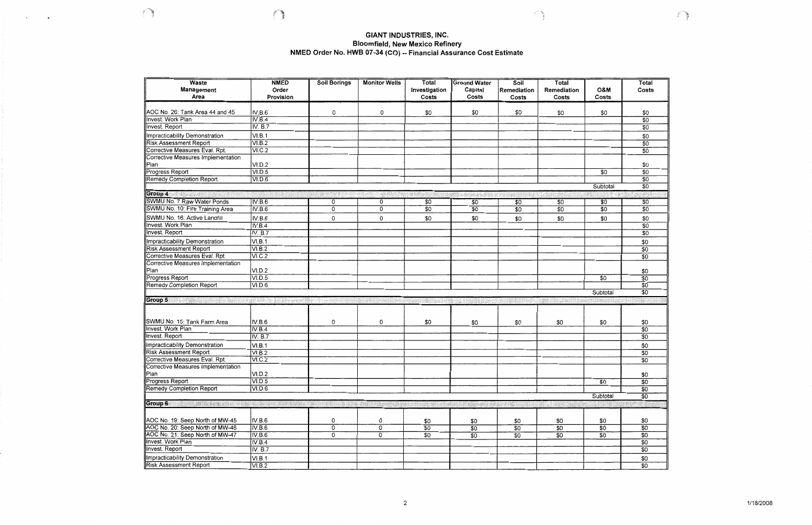# **GIANT INDUSTRIES, INC.** Bloomfield, New Mexico Refinery<br>NMED Order No. HWB 07-34 (CO) -- Financial Assurance Cost Estimate

**C** 

 $\ddot{\phantom{1}}$ 

 $\sum_{i=1}^{n}$ 

| <b>Waste</b>                                                    | <b>NMED</b>    | <b>Soil Borings</b> | <b>Monitor Wells</b>      | Total           | <b>Ground Water</b> | Soil            | Total           |                 | Total                  |
|-----------------------------------------------------------------|----------------|---------------------|---------------------------|-----------------|---------------------|-----------------|-----------------|-----------------|------------------------|
| Management                                                      | Order          |                     |                           | Investigation   | Capital             | Remediation     | Remediation     | <b>O&amp;M</b>  | Costs                  |
| Area                                                            | Provision      |                     |                           | Costs           | Costs               | Costs           | Costs           | Costs           |                        |
|                                                                 |                |                     |                           |                 |                     |                 |                 |                 |                        |
| AOC No. 26: Tank Area 44 and 45                                 | IV.B.6         | 0                   | 0                         | \$0             | \$0                 | \$0             | \$0             | \$0             | \$0                    |
| <b>Invest. Work Plan</b>                                        | IV.B.4         |                     |                           |                 |                     |                 |                 |                 | $\overline{50}$        |
| Invest. Report                                                  | IV. B.7        |                     |                           |                 |                     |                 |                 |                 | $\overline{\$0}$       |
| Impracticability Demonstration                                  | VI.B.1         |                     |                           |                 |                     |                 |                 |                 | \$0                    |
| <b>Risk Assessment Report</b>                                   | VI.B.2         |                     |                           |                 |                     |                 |                 |                 | $\overline{50}$        |
| Corrective Measures Eval. Rpt.                                  | VI.C.2         |                     |                           |                 |                     |                 |                 |                 | $\overline{50}$        |
| Corrective Measures Implementation                              |                |                     |                           |                 |                     |                 |                 |                 |                        |
| Pian                                                            | VI.D.2         |                     |                           |                 |                     |                 |                 |                 | \$0                    |
| Progress Report                                                 | VI.D.5         |                     |                           |                 |                     |                 |                 | \$0             | $\overline{30}$        |
| <b>Remedy Completion Report</b>                                 | VI.D.6         |                     |                           |                 |                     |                 |                 |                 | $\overline{30}$        |
|                                                                 |                |                     |                           |                 |                     |                 |                 | Subtotal        | $\overline{50}$        |
| Group 4                                                         |                |                     |                           |                 |                     |                 |                 |                 |                        |
| <b>SWMU No. 7 Raw Water Ponds</b>                               | IV.B.6         | 0                   | 0                         | $\overline{50}$ | \$0                 | \$0             | $\overline{50}$ | \$0             | \$0                    |
| SWMU No. 10: Fire Training Area                                 | <b>IV.B.6</b>  | $\overline{0}$      | $\overline{0}$            | $\overline{50}$ | $\overline{50}$     | \$0             | $\overline{50}$ | $\overline{30}$ | $\overline{50}$        |
| SWMU No. 16: Active Landfill                                    | IV.B.6         |                     |                           |                 | \$0                 | \$0             | \$0             | \$0             | \$0                    |
| Invest. Work Plan                                               | IV.B.4         | 0                   | 0                         | \$0             |                     |                 |                 |                 | $\overline{30}$        |
| Invest. Report                                                  | <b>IV. B.7</b> |                     |                           |                 |                     |                 |                 |                 | $\overline{30}$        |
|                                                                 |                |                     |                           |                 |                     |                 |                 |                 |                        |
| Impracticability Demonstration                                  | VI.B.1         |                     |                           |                 |                     |                 |                 |                 | \$0                    |
| <b>Risk Assessment Report</b>                                   | VI.B.2         |                     |                           |                 |                     |                 |                 |                 | \$0                    |
| Corrective Measures Eval. Rpt.                                  | VI.C.2         |                     |                           |                 |                     |                 |                 |                 | $\overline{50}$        |
| Corrective Measures Implementation                              |                |                     |                           |                 |                     |                 |                 |                 |                        |
| Plan                                                            | VI.D.2         |                     |                           |                 |                     |                 |                 |                 | \$0<br>$\overline{30}$ |
| Progress Report                                                 | VI.D.5         |                     |                           |                 |                     |                 |                 | \$0             | $\overline{30}$        |
| Remedy Completion Report                                        | VI.D.6         |                     |                           |                 |                     |                 |                 | Subtotal        | $\overline{30}$        |
|                                                                 |                |                     |                           |                 |                     |                 |                 |                 |                        |
| Group 5                                                         |                |                     |                           |                 |                     |                 |                 |                 |                        |
|                                                                 |                |                     |                           |                 |                     |                 |                 |                 |                        |
| SWMU No. 15: Tank Farm Area                                     | IV.B.6         | 0                   | 0                         | \$0             | \$0                 | \$0             | \$0             | \$0             | \$0                    |
| Invest. Work Plan                                               | IV.B.4         |                     |                           |                 |                     |                 |                 |                 | $\overline{50}$        |
| Invest. Report                                                  | <b>IV. B.7</b> |                     |                           |                 |                     |                 |                 |                 | $\overline{50}$        |
|                                                                 |                |                     |                           |                 |                     |                 |                 |                 |                        |
| Impracticability Demonstration                                  | VI.B.1         |                     |                           |                 |                     |                 |                 |                 | \$0<br>$\overline{30}$ |
| <b>Risk Assessment Report</b><br>Corrective Measures Eval. Rpt. | VI.B.2         |                     |                           |                 |                     |                 |                 |                 | $\overline{50}$        |
| Corrective Measures Implementation                              | VI.C.2         |                     |                           |                 |                     |                 |                 |                 |                        |
|                                                                 | VI.D.2         |                     |                           |                 |                     |                 |                 |                 | \$0                    |
| ∣Plan<br>Progress Report                                        | VI.D.5         |                     |                           |                 |                     |                 |                 | \$0             | $\overline{50}$        |
| <b>Remedy Completion Report</b>                                 | VI.D.6         |                     |                           |                 |                     |                 |                 |                 | $\overline{50}$        |
|                                                                 |                |                     |                           |                 |                     |                 |                 | Subtotal        | $\overline{50}$        |
| Group 6                                                         |                |                     |                           |                 |                     |                 |                 |                 |                        |
|                                                                 |                |                     |                           |                 |                     |                 |                 |                 |                        |
|                                                                 |                |                     |                           |                 |                     |                 |                 |                 |                        |
| AOC No. 19: Seep North of MW-45                                 | IV.B.6         | 0                   | 0                         | \$0             | \$0                 | \$0             | \$0             | \$0             | \$0                    |
| AOC No. 20: Seep North of MW-46                                 | IV.B.6         | $\overline{0}$      | $\overline{\mathfrak{o}}$ | $\overline{50}$ | $\overline{30}$     | $\overline{30}$ | \$0             | $\overline{30}$ | $\overline{50}$        |
| AOC No. 21: Seep North of MW-47                                 | IV.B.6         | 0                   | 0                         | \$0             | $\overline{50}$     | $\overline{30}$ | $\overline{30}$ | \$0             | \$0                    |
| Invest. Work Plan                                               | IV.B.4         |                     |                           |                 |                     |                 |                 |                 | $\overline{50}$        |
| Invest. Report                                                  | <b>IV. B.7</b> |                     |                           |                 |                     |                 |                 |                 | $\overline{50}$        |
| Impracticability Demonstration                                  | VI.B.1         |                     |                           |                 |                     |                 |                 |                 | \$0                    |
| <b>Risk Assessment Report</b>                                   | <b>VI.B.2</b>  |                     |                           |                 |                     |                 |                 |                 | $\overline{50}$        |

 $\overline{c}$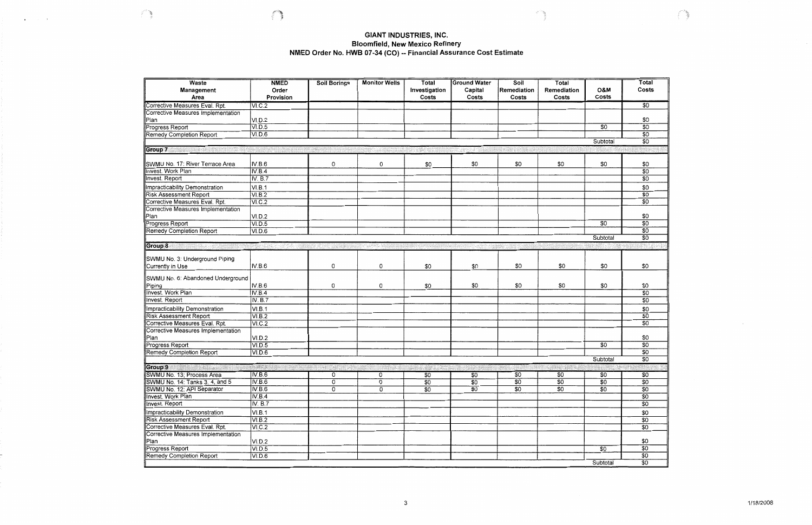## **GIANT INDUSTRIES, INC.** Bloomfield, New Mexico Refinery<br>NMED Order No. HWB 07-34 (CO) -- Financial Assurance Cost Estimate

 $\sim$ 

 $\left( \begin{array}{c} 1 \ 1 \end{array} \right)$ 

| Waste                                                           | <b>NMED</b>          | <b>Soil Borings</b> | <b>Monitor Wells</b> | Total           | <b>Ground Water</b> | Soil            | Total           |                 | Total           |
|-----------------------------------------------------------------|----------------------|---------------------|----------------------|-----------------|---------------------|-----------------|-----------------|-----------------|-----------------|
| Management                                                      | Order                |                     |                      | Investigation   | Capital             | Remediation     | Remediation     | <b>O&amp;M</b>  | Costs           |
| Area                                                            | Provision            |                     |                      | Costs           | Costs               | Costs           | Costs           | Costs           |                 |
| Corrective Measures Eval. Rpt.                                  | VI.C.2               |                     |                      |                 |                     |                 |                 |                 | $\overline{30}$ |
| Corrective Measures Implementation                              |                      |                     |                      |                 |                     |                 |                 |                 |                 |
| Plan                                                            | VI.D.2               |                     |                      |                 |                     |                 |                 |                 | \$0             |
| Progress Report                                                 | VI.D.5               |                     |                      |                 |                     |                 |                 | $\overline{30}$ | $\overline{50}$ |
| <b>Remedy Completion Report</b>                                 | VI.D.6               |                     |                      |                 |                     |                 |                 |                 | $\overline{50}$ |
|                                                                 |                      |                     |                      |                 |                     |                 |                 | Subtotal        | $\overline{50}$ |
| Group 7                                                         |                      |                     |                      |                 |                     |                 |                 |                 |                 |
|                                                                 |                      |                     |                      |                 |                     |                 |                 |                 |                 |
| SWMU No. 17: River Terrace Area                                 | IV.B.6               | 0                   | 0                    | \$0             | \$0                 | \$0             | \$0             | \$0             | \$0             |
| <b>Invest. Work Plan</b>                                        | IV.B.4               |                     |                      |                 |                     |                 |                 |                 | $\overline{50}$ |
| <b>Invest. Report</b>                                           | IV. B.7              |                     |                      |                 |                     |                 |                 |                 | $\overline{30}$ |
| Impracticability Demonstration                                  | VI.B.1               |                     |                      |                 |                     |                 |                 |                 | \$0             |
| <b>Risk Assessment Report</b>                                   | VI.B.2               |                     |                      |                 |                     |                 |                 |                 | $\overline{50}$ |
| Corrective Measures Eval. Rpt.                                  | VI.C.2               |                     |                      |                 |                     |                 |                 |                 | $\overline{50}$ |
| <b>Corrective Measures Implementation</b>                       |                      |                     |                      |                 |                     |                 |                 |                 |                 |
| Plan                                                            | VI.D.2               |                     |                      |                 |                     |                 |                 |                 | \$0             |
| Progress Report                                                 | VI.D.5               |                     |                      |                 |                     |                 |                 | $\overline{30}$ | $\overline{30}$ |
| <b>Remedy Completion Report</b>                                 | VI.D.6               |                     |                      |                 |                     |                 |                 |                 | $\overline{50}$ |
|                                                                 |                      |                     |                      |                 |                     |                 |                 | Subtotal        | $\overline{50}$ |
| Group 8                                                         |                      |                     |                      |                 |                     |                 |                 |                 |                 |
|                                                                 |                      |                     |                      |                 |                     |                 |                 |                 |                 |
| SWMU No. 3: Underground Piping                                  |                      |                     |                      |                 |                     |                 |                 |                 |                 |
| Currently in Use                                                | IV.B.6               | 0                   | 0                    | \$0             | \$0                 | \$0             | \$0             | \$0             | \$0             |
| SWMU No. 6: Abandoned Underground                               |                      |                     |                      |                 |                     |                 |                 |                 |                 |
| Piping                                                          | IV.B.6               | 0                   | 0                    | \$0             | \$0                 | \$0             | \$0             | \$0             | \$0             |
| <b>Invest.</b> Work Plan                                        | IV.B.4               |                     |                      |                 |                     |                 |                 |                 | $\overline{30}$ |
| Invest. Report                                                  | <b>IV. B.7</b>       |                     |                      |                 |                     |                 |                 |                 | $\overline{50}$ |
|                                                                 |                      |                     |                      |                 |                     |                 |                 |                 | \$0             |
| Impracticability Demonstration<br><b>Risk Assessment Report</b> | VI.B.1<br>VI.B.2     |                     |                      |                 |                     |                 |                 |                 | $\overline{50}$ |
| Corrective Measures Eval. Rpt.                                  | VI.C.2               |                     |                      |                 |                     |                 |                 |                 | \$0             |
| Corrective Measures Implementation                              |                      |                     |                      |                 |                     |                 |                 |                 |                 |
| Plan                                                            | VI.D.2               |                     |                      |                 |                     |                 |                 |                 | \$0             |
| Progress Report                                                 | VI.D.5               |                     |                      |                 |                     |                 |                 | $\overline{30}$ | $\overline{50}$ |
| <b>Remedy Completion Report</b>                                 | VI.D.6               |                     |                      |                 |                     |                 |                 |                 | $\overline{50}$ |
|                                                                 |                      |                     |                      |                 |                     |                 |                 | Subtotal        | $\overline{50}$ |
| Group 9<br><b>MARINE BR</b>                                     |                      |                     |                      |                 |                     |                 | STAR NA         |                 |                 |
| SWMU No. 13; Process Area                                       | IV.B.6               | 0                   | 0                    | \$0             | \$0                 | \$0             | \$0             | \$0             | \$0             |
| SWMU No. 14: Tanks 3, 4, and 5                                  | IV.B.6               | $\overline{0}$      | 0                    | $\overline{50}$ | $\overline{30}$     | $\overline{50}$ | $\overline{50}$ | $\overline{30}$ | $\overline{50}$ |
| SWMU No. 12: API Separator                                      | IV.B.6               | $\overline{0}$      | 0                    | \$0             | $\overline{50}$     | $\overline{30}$ | $\overline{50}$ | $\overline{50}$ | $\overline{50}$ |
| Invest. Work Plan                                               | IV.B.4               |                     |                      |                 |                     |                 |                 |                 | $\overline{50}$ |
| Invest. Report                                                  | <b>IV. B.7</b>       |                     |                      |                 |                     |                 |                 |                 | $\overline{50}$ |
| Impracticability Demonstration                                  | VI.B.1               |                     |                      |                 |                     |                 |                 |                 | \$0             |
| <b>Risk Assessment Report</b>                                   | $\overline{V}$ I.B.2 |                     |                      |                 |                     |                 |                 |                 | \$0             |
| Corrective Measures Eval. Rpt.                                  | VI.C.2               |                     |                      |                 |                     |                 |                 |                 | $\overline{50}$ |
| Corrective Measures Implementation                              |                      |                     |                      |                 |                     |                 |                 |                 |                 |
| Pian                                                            | VI.D.2               |                     |                      |                 |                     |                 |                 |                 | \$0             |
| Progress Report                                                 | VI.D.5               |                     |                      |                 |                     |                 |                 | $\overline{30}$ | $\overline{50}$ |
| <b>Remedy Completion Report</b>                                 | VI.D.6               |                     |                      |                 |                     |                 |                 |                 | $\overline{50}$ |
|                                                                 |                      |                     |                      |                 |                     |                 |                 | Subtotal        | $\overline{50}$ |